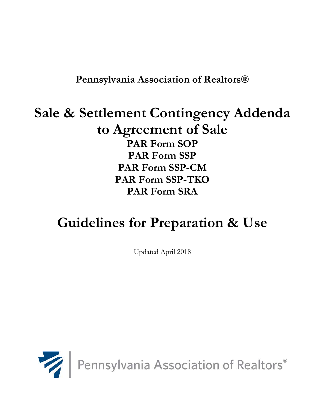**Pennsylvania Association of Realtors®**

## **Sale & Settlement Contingency Addenda to Agreement of Sale PAR Form SOP PAR Form SSP PAR Form SSP-CM PAR Form SSP-TKO PAR Form SRA**

# **Guidelines for Preparation & Use**

Updated April 2018

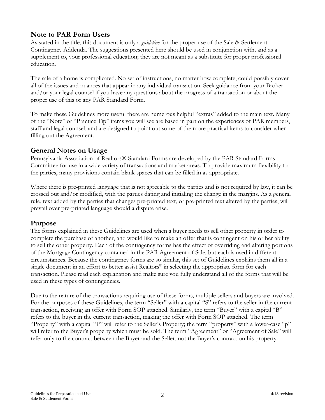#### **Note to PAR Form Users**

As stated in the title, this document is only a *guideline* for the proper use of the Sale & Settlement Contingency Addenda. The suggestions presented here should be used in conjunction with, and as a supplement to, your professional education; they are not meant as a substitute for proper professional education.

The sale of a home is complicated. No set of instructions, no matter how complete, could possibly cover all of the issues and nuances that appear in any individual transaction. Seek guidance from your Broker and/or your legal counsel if you have any questions about the progress of a transaction or about the proper use of this or any PAR Standard Form.

To make these Guidelines more useful there are numerous helpful "extras" added to the main text. Many of the "Note" or "Practice Tip" items you will see are based in part on the experiences of PAR members, staff and legal counsel, and are designed to point out some of the more practical items to consider when filling out the Agreement.

#### **General Notes on Usage**

Pennsylvania Association of Realtors® Standard Forms are developed by the PAR Standard Forms Committee for use in a wide variety of transactions and market areas. To provide maximum flexibility to the parties, many provisions contain blank spaces that can be filled in as appropriate.

Where there is pre-printed language that is not agreeable to the parties and is not required by law, it can be crossed out and/or modified, with the parties dating and initialing the change in the margins. As a general rule, text added by the parties that changes pre-printed text, or pre-printed text altered by the parties, will prevail over pre-printed language should a dispute arise.

#### **Purpose**

The forms explained in these Guidelines are used when a buyer needs to sell other property in order to complete the purchase of another, and would like to make an offer that is contingent on his or her ability to sell the other property. Each of the contingency forms has the effect of overriding and altering portions of the Mortgage Contingency contained in the PAR Agreement of Sale, but each is used in different circumstances. Because the contingency forms are so similar, this set of Guidelines explains them all in a single document in an effort to better assist Realtors<sup>®</sup> in selecting the appropriate form for each transaction. Please read each explanation and make sure you fully understand all of the forms that will be used in these types of contingencies.

Due to the nature of the transactions requiring use of these forms, multiple sellers and buyers are involved. For the purposes of these Guidelines, the term "Seller" with a capital "S" refers to the seller in the current transaction, receiving an offer with Form SOP attached. Similarly, the term "Buyer" with a capital "B" refers to the buyer in the current transaction, making the offer with Form SOP attached. The term "Property" with a capital "P" will refer to the Seller's Property; the term "property" with a lower-case "p" will refer to the Buyer's property which must be sold. The term "Agreement" or "Agreement of Sale" will refer only to the contract between the Buyer and the Seller, not the Buyer's contract on his property.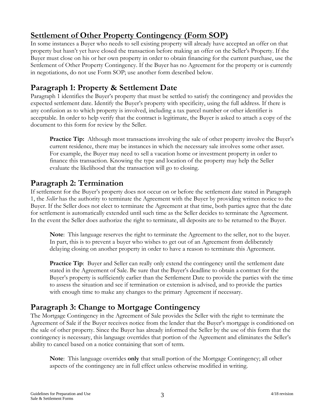## **Settlement of Other Property Contingency (Form SOP)**

In some instances a Buyer who needs to sell existing property will already have accepted an offer on that property but hasn't yet have closed the transaction before making an offer on the Seller's Property. If the Buyer must close on his or her own property in order to obtain financing for the current purchase, use the Settlement of Other Property Contingency. If the Buyer has no Agreement for the property or is currently in negotiations, do not use Form SOP; use another form described below.

#### **Paragraph 1: Property & Settlement Date**

Paragraph 1 identifies the Buyer's property that must be settled to satisfy the contingency and provides the expected settlement date. Identify the Buyer's property with specificity, using the full address. If there is any confusion as to which property is involved, including a tax parcel number or other identifier is acceptable. In order to help verify that the contract is legitimate, the Buyer is asked to attach a copy of the document to this form for review by the Seller.

**Practice Tip:** Although most transactions involving the sale of other property involve the Buyer's current residence, there may be instances in which the necessary sale involves some other asset. For example, the Buyer may need to sell a vacation home or investment property in order to finance this transaction. Knowing the type and location of the property may help the Seller evaluate the likelihood that the transaction will go to closing.

## **Paragraph 2: Termination**

If settlement for the Buyer's property does not occur on or before the settlement date stated in Paragraph 1, the *Seller* has the authority to terminate the Agreement with the Buyer by providing written notice to the Buyer. If the Seller does not elect to terminate the Agreement at that time, both parties agree that the date for settlement is automatically extended until such time as the Seller decides to terminate the Agreement. In the event the Seller does authorize the right to terminate, all deposits are to be returned to the Buyer.

**Note**: This language reserves the right to terminate the Agreement to the seller, not to the buyer. In part, this is to prevent a buyer who wishes to get out of an Agreement from deliberately delaying closing on another property in order to have a reason to terminate this Agreement.

**Practice Tip**: Buyer and Seller can really only extend the contingency until the settlement date stated in the Agreement of Sale. Be sure that the Buyer's deadline to obtain a contract for the Buyer's property is sufficiently earlier than the Settlement Date to provide the parties with the time to assess the situation and see if termination or extension is advised, and to provide the parties with enough time to make any changes to the primary Agreement if necessary.

## **Paragraph 3: Change to Mortgage Contingency**

The Mortgage Contingency in the Agreement of Sale provides the Seller with the right to terminate the Agreement of Sale if the Buyer receives notice from the lender that the Buyer's mortgage is conditioned on the sale of other property. Since the Buyer has already informed the Seller by the use of this form that the contingency is necessary, this language overrides that portion of the Agreement and eliminates the Seller's ability to cancel based on a notice containing that sort of term.

**Note**: This language overrides **only** that small portion of the Mortgage Contingency; all other aspects of the contingency are in full effect unless otherwise modified in writing.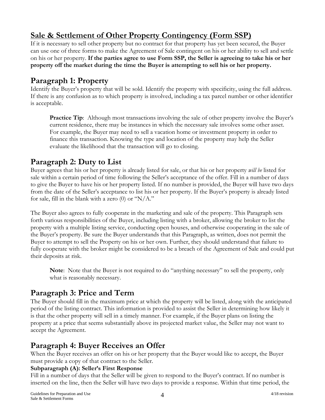## **Sale & Settlement of Other Property Contingency (Form SSP)**

If it is necessary to sell other property but no contract for that property has yet been secured, the Buyer can use one of three forms to make the Agreement of Sale contingent on his or her ability to sell and settle on his or her property. **If the parties agree to use Form SSP, the Seller is agreeing to take his or her property off the market during the time the Buyer is attempting to sell his or her property.**

#### **Paragraph 1: Property**

Identify the Buyer's property that will be sold. Identify the property with specificity, using the full address. If there is any confusion as to which property is involved, including a tax parcel number or other identifier is acceptable.

**Practice Tip**: Although most transactions involving the sale of other property involve the Buyer's current residence, there may be instances in which the necessary sale involves some other asset. For example, the Buyer may need to sell a vacation home or investment property in order to finance this transaction. Knowing the type and location of the property may help the Seller evaluate the likelihood that the transaction will go to closing.

## **Paragraph 2: Duty to List**

Buyer agrees that his or her property is already listed for sale, or that his or her property *will be* listed for sale within a certain period of time following the Seller's acceptance of the offer. Fill in a number of days to give the Buyer to have his or her property listed. If no number is provided, the Buyer will have two days from the date of the Seller's acceptance to list his or her property. If the Buyer's property is already listed for sale, fill in the blank with a zero  $(0)$  or "N/A."

The Buyer also agrees to fully cooperate in the marketing and sale of the property. This Paragraph sets forth various responsibilities of the Buyer, including listing with a broker, allowing the broker to list the property with a multiple listing service, conducting open houses, and otherwise cooperating in the sale of the Buyer's property. Be sure the Buyer understands that this Paragraph, as written, does not permit the Buyer to attempt to sell the Property on his or her own. Further, they should understand that failure to fully cooperate with the broker might be considered to be a breach of the Agreement of Sale and could put their deposits at risk.

**Note**: Note that the Buyer is not required to do "anything necessary" to sell the property, only what is reasonably necessary.

#### **Paragraph 3: Price and Term**

The Buyer should fill in the maximum price at which the property will be listed, along with the anticipated period of the listing contract. This information is provided to assist the Seller in determining how likely it is that the other property will sell in a timely manner. For example, if the Buyer plans on listing the property at a price that seems substantially above its projected market value, the Seller may not want to accept the Agreement.

#### **Paragraph 4: Buyer Receives an Offer**

When the Buyer receives an offer on his or her property that the Buyer would like to accept, the Buyer must provide a copy of that contract to the Seller.

#### **Subparagraph (A): Seller's First Response**

Fill in a number of days that the Seller will be given to respond to the Buyer's contract. If no number is inserted on the line, then the Seller will have two days to provide a response. Within that time period, the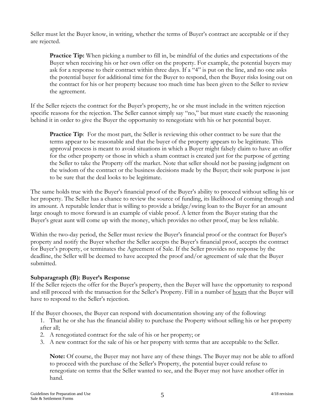Seller must let the Buyer know, in writing, whether the terms of Buyer's contract are acceptable or if they are rejected.

**Practice Tip:** When picking a number to fill in, be mindful of the duties and expectations of the Buyer when receiving his or her own offer on the property. For example, the potential buyers may ask for a response to their contract within three days. If a "4" is put on the line, and no one asks the potential buyer for additional time for the Buyer to respond, then the Buyer risks losing out on the contract for his or her property because too much time has been given to the Seller to review the agreement.

If the Seller rejects the contract for the Buyer's property, he or she must include in the written rejection specific reasons for the rejection. The Seller cannot simply say "no," but must state exactly the reasoning behind it in order to give the Buyer the opportunity to renegotiate with his or her potential buyer.

**Practice Tip**: For the most part, the Seller is reviewing this other contract to be sure that the terms appear to be reasonable and that the buyer of the property appears to be legitimate. This approval process is meant to avoid situations in which a Buyer might falsely claim to have an offer for the other property or those in which a sham contract is created just for the purpose of getting the Seller to take the Property off the market. Note that seller should not be passing judgment on the wisdom of the contract or the business decisions made by the Buyer; their sole purpose is just to be sure that the deal looks to be legitimate.

The same holds true with the Buyer's financial proof of the Buyer's ability to proceed without selling his or her property. The Seller has a chance to review the source of funding, its likelihood of coming through and its amount. A reputable lender that is willing to provide a bridge/swing loan to the Buyer for an amount large enough to move forward is an example of viable proof. A letter from the Buyer stating that the Buyer's great aunt will come up with the money, which provides no other proof, may be less reliable.

Within the two-day period, the Seller must review the Buyer's financial proof or the contract for Buyer's property and notify the Buyer whether the Seller accepts the Buyer's financial proof, accepts the contract for Buyer's property, or terminates the Agreement of Sale. If the Seller provides no response by the deadline, the Seller will be deemed to have accepted the proof and/or agreement of sale that the Buyer submitted.

#### **Subparagraph (B): Buyer's Response**

If the Seller rejects the offer for the Buyer's property, then the Buyer will have the opportunity to respond and still proceed with the transaction for the Seller's Property. Fill in a number of hours that the Buyer will have to respond to the Seller's rejection.

If the Buyer chooses, the Buyer can respond with documentation showing any of the following:

- 1. That he or she has the financial ability to purchase the Property without selling his or her property after all;
- 2. A renegotiated contract for the sale of his or her property; or
- 3. A new contract for the sale of his or her property with terms that are acceptable to the Seller.

**Note:** Of course, the Buyer may not have any of these things. The Buyer may not be able to afford to proceed with the purchase of the Seller's Property, the potential buyer could refuse to renegotiate on terms that the Seller wanted to see, and the Buyer may not have another offer in hand.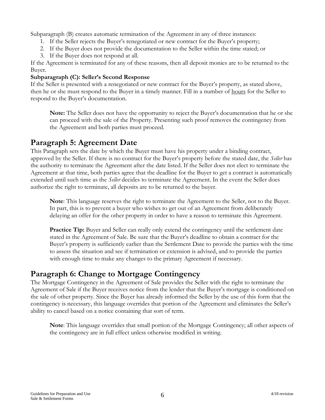Subparagraph (B) creates automatic termination of the Agreement in any of three instances:

- 1. If the Seller rejects the Buyer's renegotiated or new contract for the Buyer's property;
- 2. If the Buyer does not provide the documentation to the Seller within the time stated; or
- 3. If the Buyer does not respond at all.

If the Agreement is terminated for any of these reasons, then all deposit monies are to be returned to the Buyer.

#### **Subparagraph (C): Seller's Second Response**

If the Seller is presented with a renegotiated or new contract for the Buyer's property, as stated above, then he or she must respond to the Buyer in a timely manner. Fill in a number of hours for the Seller to respond to the Buyer's documentation.

**Note:** The Seller does not have the opportunity to reject the Buyer's documentation that he or she can proceed with the sale of the Property. Presenting such proof removes the contingency from the Agreement and both parties must proceed.

#### **Paragraph 5: Agreement Date**

This Paragraph sets the date by which the Buyer must have his property under a binding contract, approved by the Seller. If there is no contract for the Buyer's property before the stated date, the *Seller* has the authority to terminate the Agreement after the date listed. If the Seller does not elect to terminate the Agreement at that time, both parties agree that the deadline for the Buyer to get a contract is automatically extended until such time as the *Seller* decides to terminate the Agreement. In the event the Seller does authorize the right to terminate, all deposits are to be returned to the buyer.

**Note**: This language reserves the right to terminate the Agreement to the Seller, not to the Buyer. In part, this is to prevent a buyer who wishes to get out of an Agreement from deliberately delaying an offer for the other property in order to have a reason to terminate this Agreement.

**Practice Tip:** Buyer and Seller can really only extend the contingency until the settlement date stated in the Agreement of Sale. Be sure that the Buyer's deadline to obtain a contract for the Buyer's property is sufficiently earlier than the Settlement Date to provide the parties with the time to assess the situation and see if termination or extension is advised, and to provide the parties with enough time to make any changes to the primary Agreement if necessary.

#### **Paragraph 6: Change to Mortgage Contingency**

The Mortgage Contingency in the Agreement of Sale provides the Seller with the right to terminate the Agreement of Sale if the Buyer receives notice from the lender that the Buyer's mortgage is conditioned on the sale of other property. Since the Buyer has already informed the Seller by the use of this form that the contingency is necessary, this language overrides that portion of the Agreement and eliminates the Seller's ability to cancel based on a notice containing that sort of term.

**Note**: This language overrides that small portion of the Mortgage Contingency; all other aspects of the contingency are in full effect unless otherwise modified in writing.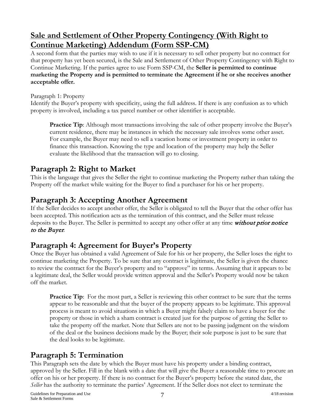## **Sale and Settlement of Other Property Contingency (With Right to Continue Marketing) Addendum (Form SSP-CM)**

A second form that the parties may wish to use if it is necessary to sell other property but no contract for that property has yet been secured, is the Sale and Settlement of Other Property Contingency with Right to Continue Marketing. If the parties agree to use Form SSP-CM, the **Seller is permitted to continue marketing the Property and is permitted to terminate the Agreement if he or she receives another acceptable offer.**

#### Paragraph 1: Property

Identify the Buyer's property with specificity, using the full address. If there is any confusion as to which property is involved, including a tax parcel number or other identifier is acceptable.

**Practice Tip:** Although most transactions involving the sale of other property involve the Buyer's current residence, there may be instances in which the necessary sale involves some other asset. For example, the Buyer may need to sell a vacation home or investment property in order to finance this transaction. Knowing the type and location of the property may help the Seller evaluate the likelihood that the transaction will go to closing.

## **Paragraph 2: Right to Market**

This is the language that gives the Seller the right to continue marketing the Property rather than taking the Property off the market while waiting for the Buyer to find a purchaser for his or her property.

#### **Paragraph 3: Accepting Another Agreement**

If the Seller decides to accept another offer, the Seller is obligated to tell the Buyer that the other offer has been accepted. This notification acts as the termination of this contract, and the Seller must release deposits to the Buyer. The Seller is permitted to accept any other offer at any time without prior notice to the Buyer.

#### **Paragraph 4: Agreement for Buyer's Property**

Once the Buyer has obtained a valid Agreement of Sale for his or her property, the Seller loses the right to continue marketing the Property. To be sure that any contract is legitimate, the Seller is given the chance to review the contract for the Buyer's property and to "approve" its terms. Assuming that it appears to be a legitimate deal, the Seller would provide written approval and the Seller's Property would now be taken off the market.

**Practice Tip**: For the most part, a Seller is reviewing this other contract to be sure that the terms appear to be reasonable and that the buyer of the property appears to be legitimate. This approval process is meant to avoid situations in which a Buyer might falsely claim to have a buyer for the property or those in which a sham contract is created just for the purpose of getting the Seller to take the property off the market. Note that Sellers are not to be passing judgment on the wisdom of the deal or the business decisions made by the Buyer; their sole purpose is just to be sure that the deal looks to be legitimate.

## **Paragraph 5: Termination**

This Paragraph sets the date by which the Buyer must have his property under a binding contract, approved by the Seller. Fill in the blank with a date that will give the Buyer a reasonable time to procure an offer on his or her property. If there is no contract for the Buyer's property before the stated date, the *Seller* has the authority to terminate the parties' Agreement. If the Seller does not elect to terminate the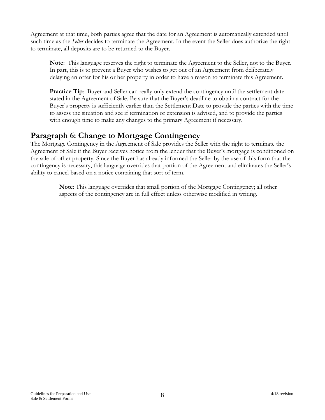Agreement at that time, both parties agree that the date for an Agreement is automatically extended until such time as the *Seller* decides to terminate the Agreement. In the event the Seller does authorize the right to terminate, all deposits are to be returned to the Buyer.

**Note**: This language reserves the right to terminate the Agreement to the Seller, not to the Buyer. In part, this is to prevent a Buyer who wishes to get out of an Agreement from deliberately delaying an offer for his or her property in order to have a reason to terminate this Agreement.

**Practice Tip**: Buyer and Seller can really only extend the contingency until the settlement date stated in the Agreement of Sale. Be sure that the Buyer's deadline to obtain a contract for the Buyer's property is sufficiently earlier than the Settlement Date to provide the parties with the time to assess the situation and see if termination or extension is advised, and to provide the parties with enough time to make any changes to the primary Agreement if necessary.

#### **Paragraph 6: Change to Mortgage Contingency**

The Mortgage Contingency in the Agreement of Sale provides the Seller with the right to terminate the Agreement of Sale if the Buyer receives notice from the lender that the Buyer's mortgage is conditioned on the sale of other property. Since the Buyer has already informed the Seller by the use of this form that the contingency is necessary, this language overrides that portion of the Agreement and eliminates the Seller's ability to cancel based on a notice containing that sort of term.

> **Note**: This language overrides that small portion of the Mortgage Contingency; all other aspects of the contingency are in full effect unless otherwise modified in writing.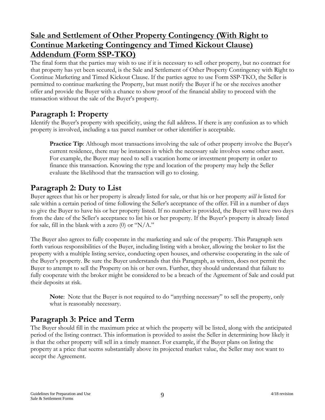## **Sale and Settlement of Other Property Contingency (With Right to Continue Marketing Contingency and Timed Kickout Clause) Addendum (Form SSP-TKO)**

The final form that the parties may wish to use if it is necessary to sell other property, but no contract for that property has yet been secured, is the Sale and Settlement of Other Property Contingency with Right to Continue Marketing and Timed Kickout Clause. If the parties agree to use Form SSP-TKO, the Seller is permitted to continue marketing the Property, but must notify the Buyer if he or she receives another offer and provide the Buyer with a chance to show proof of the financial ability to proceed with the transaction without the sale of the Buyer's property.

#### **Paragraph 1: Property**

Identify the Buyer's property with specificity, using the full address. If there is any confusion as to which property is involved, including a tax parcel number or other identifier is acceptable.

**Practice Tip:** Although most transactions involving the sale of other property involve the Buyer's current residence, there may be instances in which the necessary sale involves some other asset. For example, the Buyer may need to sell a vacation home or investment property in order to finance this transaction. Knowing the type and location of the property may help the Seller evaluate the likelihood that the transaction will go to closing.

## **Paragraph 2: Duty to List**

Buyer agrees that his or her property is already listed for sale, or that his or her property *will be* listed for sale within a certain period of time following the Seller's acceptance of the offer. Fill in a number of days to give the Buyer to have his or her property listed. If no number is provided, the Buyer will have two days from the date of the Seller's acceptance to list his or her property. If the Buyer's property is already listed for sale, fill in the blank with a zero  $(0)$  or "N/A."

The Buyer also agrees to fully cooperate in the marketing and sale of the property. This Paragraph sets forth various responsibilities of the Buyer, including listing with a broker, allowing the broker to list the property with a multiple listing service, conducting open houses, and otherwise cooperating in the sale of the Buyer's property. Be sure the Buyer understands that this Paragraph, as written, does not permit the Buyer to attempt to sell the Property on his or her own. Further, they should understand that failure to fully cooperate with the broker might be considered to be a breach of the Agreement of Sale and could put their deposits at risk.

**Note**: Note that the Buyer is not required to do "anything necessary" to sell the property, only what is reasonably necessary.

## **Paragraph 3: Price and Term**

The Buyer should fill in the maximum price at which the property will be listed, along with the anticipated period of the listing contract. This information is provided to assist the Seller in determining how likely it is that the other property will sell in a timely manner. For example, if the Buyer plans on listing the property at a price that seems substantially above its projected market value, the Seller may not want to accept the Agreement.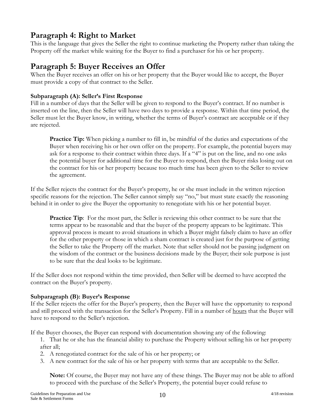#### **Paragraph 4: Right to Market**

This is the language that gives the Seller the right to continue marketing the Property rather than taking the Property off the market while waiting for the Buyer to find a purchaser for his or her property.

#### **Paragraph 5: Buyer Receives an Offer**

When the Buyer receives an offer on his or her property that the Buyer would like to accept, the Buyer must provide a copy of that contract to the Seller.

#### **Subparagraph (A): Seller's First Response**

Fill in a number of days that the Seller will be given to respond to the Buyer's contract. If no number is inserted on the line, then the Seller will have two days to provide a response. Within that time period, the Seller must let the Buyer know, in writing, whether the terms of Buyer's contract are acceptable or if they are rejected.

**Practice Tip:** When picking a number to fill in, be mindful of the duties and expectations of the Buyer when receiving his or her own offer on the property. For example, the potential buyers may ask for a response to their contract within three days. If a "4" is put on the line, and no one asks the potential buyer for additional time for the Buyer to respond, then the Buyer risks losing out on the contract for his or her property because too much time has been given to the Seller to review the agreement.

If the Seller rejects the contract for the Buyer's property, he or she must include in the written rejection specific reasons for the rejection. The Seller cannot simply say "no," but must state exactly the reasoning behind it in order to give the Buyer the opportunity to renegotiate with his or her potential buyer.

**Practice Tip**: For the most part, the Seller is reviewing this other contract to be sure that the terms appear to be reasonable and that the buyer of the property appears to be legitimate. This approval process is meant to avoid situations in which a Buyer might falsely claim to have an offer for the other property or those in which a sham contract is created just for the purpose of getting the Seller to take the Property off the market. Note that seller should not be passing judgment on the wisdom of the contract or the business decisions made by the Buyer; their sole purpose is just to be sure that the deal looks to be legitimate.

If the Seller does not respond within the time provided, then Seller will be deemed to have accepted the contract on the Buyer's property.

#### **Subparagraph (B): Buyer's Response**

If the Seller rejects the offer for the Buyer's property, then the Buyer will have the opportunity to respond and still proceed with the transaction for the Seller's Property. Fill in a number of hours that the Buyer will have to respond to the Seller's rejection.

If the Buyer chooses, the Buyer can respond with documentation showing any of the following:

- 1. That he or she has the financial ability to purchase the Property without selling his or her property after all;
- 2. A renegotiated contract for the sale of his or her property; or
- 3. A new contract for the sale of his or her property with terms that are acceptable to the Seller.

**Note:** Of course, the Buyer may not have any of these things. The Buyer may not be able to afford to proceed with the purchase of the Seller's Property, the potential buyer could refuse to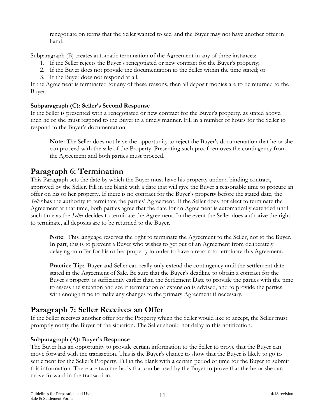renegotiate on terms that the Seller wanted to see, and the Buyer may not have another offer in hand.

Subparagraph (B) creates automatic termination of the Agreement in any of three instances:

- 1. If the Seller rejects the Buyer's renegotiated or new contract for the Buyer's property;
- 2. If the Buyer does not provide the documentation to the Seller within the time stated; or
- 3. If the Buyer does not respond at all.

If the Agreement is terminated for any of these reasons, then all deposit monies are to be returned to the Buyer.

#### **Subparagraph (C): Seller's Second Response**

If the Seller is presented with a renegotiated or new contract for the Buyer's property, as stated above, then he or she must respond to the Buyer in a timely manner. Fill in a number of hours for the Seller to respond to the Buyer's documentation.

**Note:** The Seller does not have the opportunity to reject the Buyer's documentation that he or she can proceed with the sale of the Property. Presenting such proof removes the contingency from the Agreement and both parties must proceed.

#### **Paragraph 6: Termination**

This Paragraph sets the date by which the Buyer must have his property under a binding contract, approved by the Seller. Fill in the blank with a date that will give the Buyer a reasonable time to procure an offer on his or her property. If there is no contract for the Buyer's property before the stated date, the *Seller* has the authority to terminate the parties' Agreement. If the Seller does not elect to terminate the Agreement at that time, both parties agree that the date for an Agreement is automatically extended until such time as the *Seller* decides to terminate the Agreement. In the event the Seller does authorize the right to terminate, all deposits are to be returned to the Buyer.

**Note**: This language reserves the right to terminate the Agreement to the Seller, not to the Buyer. In part, this is to prevent a Buyer who wishes to get out of an Agreement from deliberately delaying an offer for his or her property in order to have a reason to terminate this Agreement.

**Practice Tip**: Buyer and Seller can really only extend the contingency until the settlement date stated in the Agreement of Sale. Be sure that the Buyer's deadline to obtain a contract for the Buyer's property is sufficiently earlier than the Settlement Date to provide the parties with the time to assess the situation and see if termination or extension is advised, and to provide the parties with enough time to make any changes to the primary Agreement if necessary.

#### **Paragraph 7: Seller Receives an Offer**

If the Seller receives another offer for the Property which the Seller would like to accept, the Seller must promptly notify the Buyer of the situation. The Seller should not delay in this notification.

#### **Subparagraph (A): Buyer's Response**

The Buyer has an opportunity to provide certain information to the Seller to prove that the Buyer can move forward with the transaction. This is the Buyer's chance to show that the Buyer is likely to go to settlement for the Seller's Property. Fill in the blank with a certain period of time for the Buyer to submit this information. There are two methods that can be used by the Buyer to prove that the he or she can move forward in the transaction.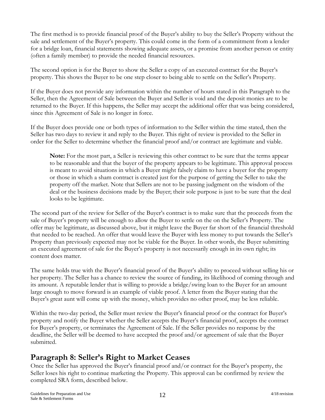The first method is to provide financial proof of the Buyer's ability to buy the Seller's Property without the sale and settlement of the Buyer's property. This could come in the form of a commitment from a lender for a bridge loan, financial statements showing adequate assets, or a promise from another person or entity (often a family member) to provide the needed financial resources.

The second option is for the Buyer to show the Seller a copy of an executed contract for the Buyer's property. This shows the Buyer to be one step closer to being able to settle on the Seller's Property.

If the Buyer does not provide any information within the number of hours stated in this Paragraph to the Seller, then the Agreement of Sale between the Buyer and Seller is void and the deposit monies are to be returned to the Buyer. If this happens, the Seller may accept the additional offer that was being considered, since this Agreement of Sale is no longer in force.

If the Buyer does provide one or both types of information to the Seller within the time stated, then the Seller has two days to review it and reply to the Buyer. This right of review is provided to the Seller in order for the Seller to determine whether the financial proof and/or contract are legitimate and viable.

**Note:** For the most part, a Seller is reviewing this other contract to be sure that the terms appear to be reasonable and that the buyer of the property appears to be legitimate. This approval process is meant to avoid situations in which a Buyer might falsely claim to have a buyer for the property or those in which a sham contract is created just for the purpose of getting the Seller to take the property off the market. Note that Sellers are not to be passing judgment on the wisdom of the deal or the business decisions made by the Buyer; their sole purpose is just to be sure that the deal looks to be legitimate.

The second part of the review for Seller of the Buyer's contract is to make sure that the proceeds from the sale of Buyer's property will be enough to allow the Buyer to settle on the on the Seller's Property. The offer may be legitimate, as discussed above, but it might leave the Buyer far short of the financial threshold that needed to be reached. An offer that would leave the Buyer with less money to put towards the Seller's Property than previously expected may not be viable for the Buyer. In other words, the Buyer submitting an executed agreement of sale for the Buyer's property is not necessarily enough in its own right; its content does matter.

The same holds true with the Buyer's financial proof of the Buyer's ability to proceed without selling his or her property. The Seller has a chance to review the source of funding, its likelihood of coming through and its amount. A reputable lender that is willing to provide a bridge/swing loan to the Buyer for an amount large enough to move forward is an example of viable proof. A letter from the Buyer stating that the Buyer's great aunt will come up with the money, which provides no other proof, may be less reliable.

Within the two-day period, the Seller must review the Buyer's financial proof or the contract for Buyer's property and notify the Buyer whether the Seller accepts the Buyer's financial proof, accepts the contract for Buyer's property, or terminates the Agreement of Sale. If the Seller provides no response by the deadline, the Seller will be deemed to have accepted the proof and/or agreement of sale that the Buyer submitted.

## **Paragraph 8: Seller's Right to Market Ceases**

Once the Seller has approved the Buyer's financial proof and/or contract for the Buyer's property, the Seller loses his right to continue marketing the Property. This approval can be confirmed by review the completed SRA form, described below.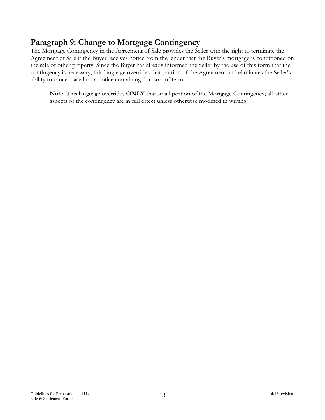## **Paragraph 9: Change to Mortgage Contingency**

The Mortgage Contingency in the Agreement of Sale provides the Seller with the right to terminate the Agreement of Sale if the Buyer receives notice from the lender that the Buyer's mortgage is conditioned on the sale of other property. Since the Buyer has already informed the Seller by the use of this form that the contingency is necessary, this language overrides that portion of the Agreement and eliminates the Seller's ability to cancel based on a notice containing that sort of term.

**Note**: This language overrides **ONLY** that small portion of the Mortgage Contingency; all other aspects of the contingency are in full effect unless otherwise modified in writing.